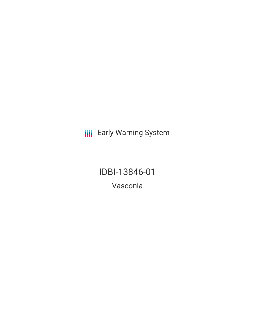**III** Early Warning System

IDBI-13846-01 Vasconia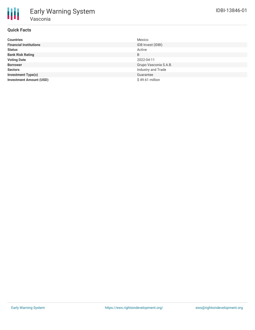# **Quick Facts**

| <b>Countries</b>               | Mexico                |
|--------------------------------|-----------------------|
| <b>Financial Institutions</b>  | IDB Invest (IDBI)     |
| <b>Status</b>                  | Active                |
| <b>Bank Risk Rating</b>        | B                     |
| <b>Voting Date</b>             | 2022-04-11            |
| <b>Borrower</b>                | Grupo Vasconia S.A.B. |
| <b>Sectors</b>                 | Industry and Trade    |
| <b>Investment Type(s)</b>      | Guarantee             |
| <b>Investment Amount (USD)</b> | $$49.61$ million      |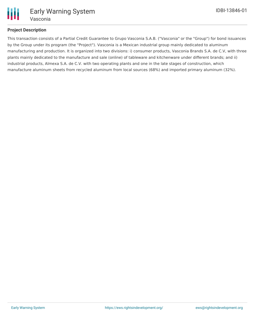

# **Project Description**

This transaction consists of a Partial Credit Guarantee to Grupo Vasconia S.A.B. ("Vasconia" or the "Group") for bond issuances by the Group under its program (the "Project"). Vasconia is a Mexican industrial group mainly dedicated to aluminum manufacturing and production. It is organized into two divisions: i) consumer products, Vasconia Brands S.A. de C.V, with three plants mainly dedicated to the manufacture and sale (online) of tableware and kitchenware under different brands; and ii) industrial products, Almexa S.A. de C.V. with two operating plants and one in the late stages of construction, which manufacture aluminum sheets from recycled aluminum from local sources (68%) and imported primary aluminum (32%).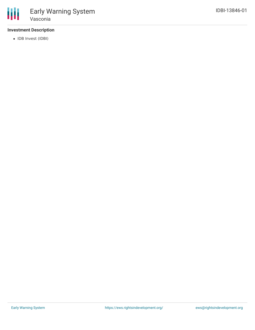# **Investment Description**

• IDB Invest (IDBI)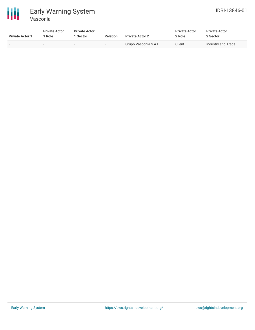

| <b>Private Actor 1</b> | <b>Private Actor</b><br>l Role | <b>Private Actor</b><br>l Sector | <b>Relation</b>          | <b>Private Actor 2</b> | <b>Private Actor</b><br>2 Role | <b>Private Actor</b><br>2 Sector |
|------------------------|--------------------------------|----------------------------------|--------------------------|------------------------|--------------------------------|----------------------------------|
| . .                    |                                | $\overline{\phantom{0}}$         | $\overline{\phantom{a}}$ | Grupo Vasconia S.A.B.  | Client                         | Industry and Trade               |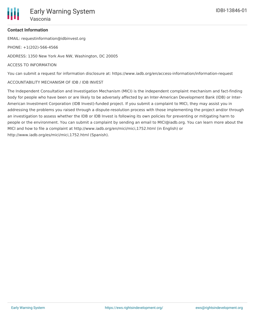

### **Contact Information**

EMAIL: requestinformation@idbinvest.org

PHONE: +1(202)-566-4566

ADDRESS: 1350 New York Ave NW, Washington, DC 20005

### ACCESS TO INFORMATION

You can submit a request for information disclosure at: https://www.iadb.org/en/access-information/information-request

### ACCOUNTABILITY MECHANISM OF IDB / IDB INVEST

The Independent Consultation and Investigation Mechanism (MICI) is the independent complaint mechanism and fact-finding body for people who have been or are likely to be adversely affected by an Inter-American Development Bank (IDB) or Inter-American Investment Corporation (IDB Invest)-funded project. If you submit a complaint to MICI, they may assist you in addressing the problems you raised through a dispute-resolution process with those implementing the project and/or through an investigation to assess whether the IDB or IDB Invest is following its own policies for preventing or mitigating harm to people or the environment. You can submit a complaint by sending an email to MICI@iadb.org. You can learn more about the MICI and how to file a complaint at http://www.iadb.org/en/mici/mici,1752.html (in English) or http://www.iadb.org/es/mici/mici,1752.html (Spanish).